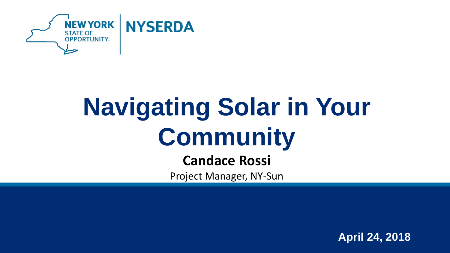

## **Navigating Solar in Your Community**

**Candace Rossi**

Project Manager, NY-Sun

**April 24, 2018**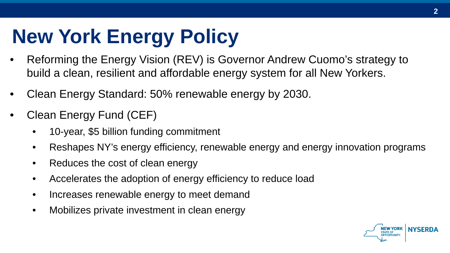## **New York Energy Policy**

- Reforming the Energy Vision (REV) is Governor Andrew Cuomo's strategy to build a clean, resilient and affordable energy system for all New Yorkers.
- Clean Energy Standard: 50% renewable energy by 2030.
- Clean Energy Fund (CEF)
	- 10-year, \$5 billion funding commitment
	- Reshapes NY's energy efficiency, renewable energy and energy innovation programs
	- Reduces the cost of clean energy
	- Accelerates the adoption of energy efficiency to reduce load
	- Increases renewable energy to meet demand
	- Mobilizes private investment in clean energy

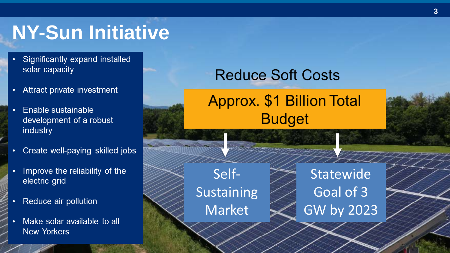#### **NY-Sun Initiative**

- Significantly expand installed solar capacity
- Attract private investment  $\bullet$
- Enable sustainable  $\bullet$ development of a robust industry
- Create well-paying skilled jobs
- Improve the reliability of the electric grid
- Reduce air pollution
- Make solar available to all **New Yorkers**

#### **Reduce Soft Costs**

#### **Approx. \$1 Billion Total Budget**

Self-Sustaining Market

**Statewide** Goal of 3 GW by 2023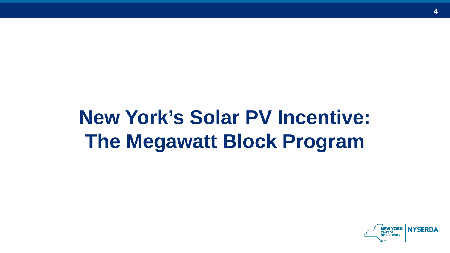## **New York's Solar PV Incentive: The Megawatt Block Program**

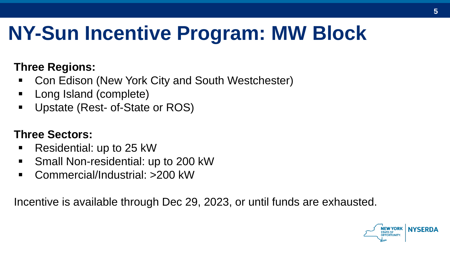## **NY-Sun Incentive Program: MW Block**

#### **Three Regions:**

- Con Edison (New York City and South Westchester)
- Long Island (complete)
- Upstate (Rest- of-State or ROS)

#### **Three Sectors:**

- Residential: up to 25 kW
- Small Non-residential: up to 200 kW
- Commercial/Industrial: >200 kW

Incentive is available through Dec 29, 2023, or until funds are exhausted.

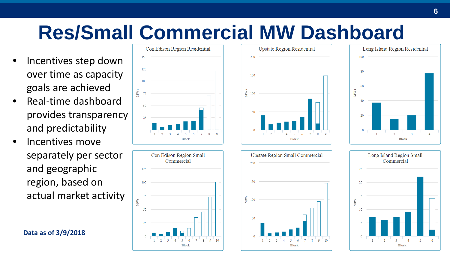## **Res/Small Commercial MW Dashboard**

- Incentives step down over time as capacity goals are achieved
- Real-time dashboard provides transparency and predictability
- Incentives move separately per sector and geographic region, based on actual market activity

**Data as of 3/9/2018**









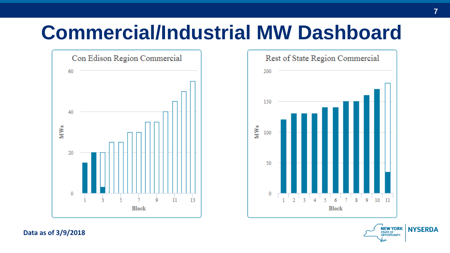#### **Commercial/Industrial MW Dashboard**





**Data as of 3/9/2018**

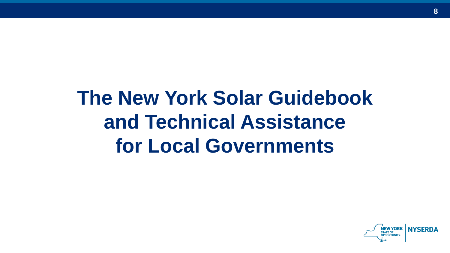## **The New York Solar Guidebook and Technical Assistance for Local Governments**

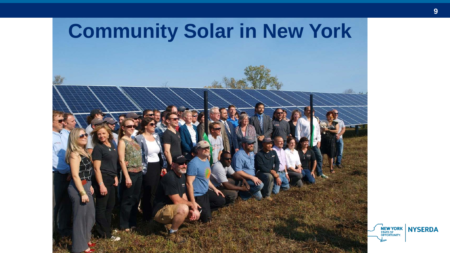

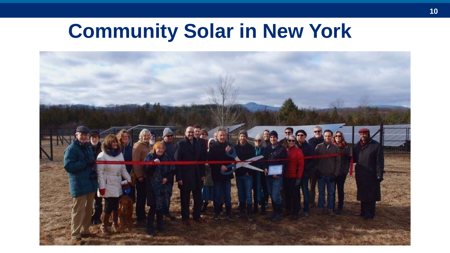#### **Community Solar in New York**

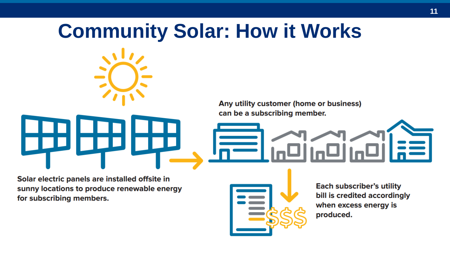# **Community Solar: How it Works**Any utility customer (home or business) can be a subscribing member.

Solar electric panels are installed offsite in sunny locations to produce renewable energy for subscribing members.



**Each subscriber's utility** bill is credited accordingly when excess energy is produced.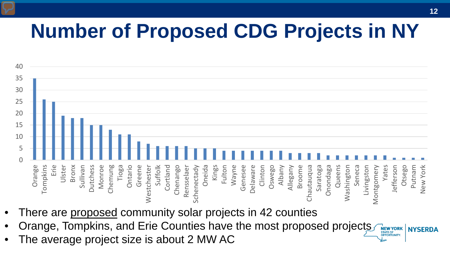## **Number of Proposed CDG Projects in NY**



- There are proposed community solar projects in 42 counties
- Orange, Tompkins, and Erie Counties have the most proposed projects **NEW YORK NYSERDA OPPORTUNITY.**
- The average project size is about 2 MW AC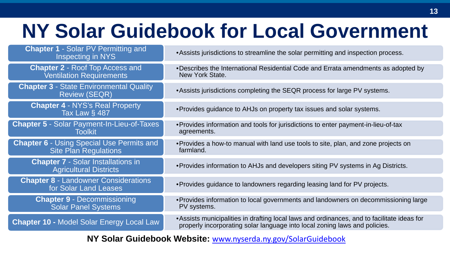#### **NY Solar Guidebook for Local Government**

| <b>Chapter 1 - Solar PV Permitting and</b><br>Inspecting in NYS                  | • Assists jurisdictions to streamline the solar permitting and inspection process.                                                                                        |
|----------------------------------------------------------------------------------|---------------------------------------------------------------------------------------------------------------------------------------------------------------------------|
| <b>Chapter 2 - Roof Top Access and</b><br><b>Ventilation Requirements</b>        | . Describes the International Residential Code and Errata amendments as adopted by<br>New York State.                                                                     |
| <b>Chapter 3 - State Environmental Quality</b><br><b>Review (SEQR)</b>           | • Assists jurisdictions completing the SEQR process for large PV systems.                                                                                                 |
| <b>Chapter 4 - NYS's Real Property</b><br>Tax Law § 487                          | • Provides guidance to AHJs on property tax issues and solar systems.                                                                                                     |
| <b>Chapter 5 - Solar Payment-In-Lieu-of-Taxes</b><br><b>Toolkit</b>              | • Provides information and tools for jurisdictions to enter payment-in-lieu-of-tax<br>agreements.                                                                         |
| <b>Chapter 6 - Using Special Use Permits and</b><br><b>Site Plan Regulations</b> | • Provides a how-to manual with land use tools to site, plan, and zone projects on<br>farmland.                                                                           |
| <b>Chapter 7 - Solar Installations in</b><br><b>Agricultural Districts</b>       | • Provides information to AHJs and developers siting PV systems in Ag Districts.                                                                                          |
| <b>Chapter 8 - Landowner Considerations</b><br>for Solar Land Leases             | • Provides guidance to landowners regarding leasing land for PV projects.                                                                                                 |
| <b>Chapter 9 - Decommissioning</b><br><b>Solar Panel Systems</b>                 | • Provides information to local governments and landowners on decommissioning large<br>PV systems.                                                                        |
| <b>Chapter 10 - Model Solar Energy Local Law</b>                                 | • Assists municipalities in drafting local laws and ordinances, and to facilitate ideas for<br>properly incorporating solar language into local zoning laws and policies. |
|                                                                                  |                                                                                                                                                                           |

**NY Solar Guidebook Website:** [www.nyserda.ny.gov/SolarGuidebook](http://www.nyserda.ny.gov/SolarGuidebook)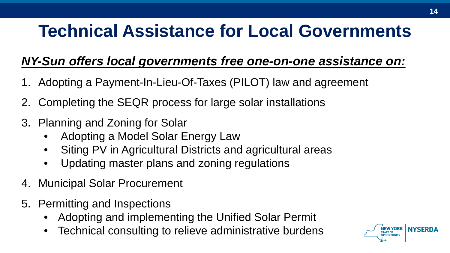#### **Technical Assistance for Local Governments**

#### *NY-Sun offers local governments free one-on-one assistance on:*

- 1. Adopting a Payment-In-Lieu-Of-Taxes (PILOT) law and agreement
- 2. Completing the SEQR process for large solar installations
- 3. Planning and Zoning for Solar
	- Adopting a Model Solar Energy Law
	- Siting PV in Agricultural Districts and agricultural areas
	- Updating master plans and zoning regulations
- 4. Municipal Solar Procurement
- 5. Permitting and Inspections
	- Adopting and implementing the Unified Solar Permit
	- Technical consulting to relieve administrative burdens

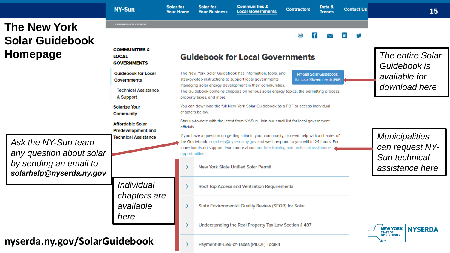|                                                                                                       | <b>NY-Sun</b>                                                                                                                                               | <b>Solar for</b><br><b>Your Home</b>   | <b>Solar for</b><br><b>Your Business</b>                                                                                                                                                                                                                                                                                                                       | <b>Communities &amp;</b><br><b>Local Governments</b> | <b>Contractors</b> | Data &<br><b>Trends</b> | <b>Contact Us</b> | 15                                                        |  |  |
|-------------------------------------------------------------------------------------------------------|-------------------------------------------------------------------------------------------------------------------------------------------------------------|----------------------------------------|----------------------------------------------------------------------------------------------------------------------------------------------------------------------------------------------------------------------------------------------------------------------------------------------------------------------------------------------------------------|------------------------------------------------------|--------------------|-------------------------|-------------------|-----------------------------------------------------------|--|--|
| <b>The New York</b>                                                                                   | A PROGRAM OF NYSERDA                                                                                                                                        |                                        |                                                                                                                                                                                                                                                                                                                                                                |                                                      |                    |                         |                   |                                                           |  |  |
| <b>Solar Guidebook</b>                                                                                |                                                                                                                                                             |                                        |                                                                                                                                                                                                                                                                                                                                                                |                                                      | a                  |                         |                   |                                                           |  |  |
| Homepage                                                                                              | <b>COMMUNITIES &amp;</b><br><b>LOCAL</b><br><b>GOVERNMENTS</b>                                                                                              | <b>Guidebook for Local Governments</b> |                                                                                                                                                                                                                                                                                                                                                                |                                                      |                    |                         |                   | The entire Solar<br>Guidebook is                          |  |  |
|                                                                                                       | <b>Guidebook for Local</b><br><b>Governments</b>                                                                                                            |                                        | The New York Solar Guidebook has information, tools, and<br>NY-Sun Solar Guidebook<br>step-by-step instructions to support local governments<br>for Local Governments [PDF]<br>managing solar energy development in their communities.<br>The Guidebook contains chapters on various solar energy topics, the permitting process,<br>property taxes, and more. |                                                      |                    |                         |                   | available for<br>download here                            |  |  |
|                                                                                                       | <b>Technical Assistance</b><br>& Support                                                                                                                    |                                        |                                                                                                                                                                                                                                                                                                                                                                |                                                      |                    |                         |                   |                                                           |  |  |
|                                                                                                       | <b>Solarize Your</b><br>Community                                                                                                                           | chapters below.                        | You can download the full New York Solar Guidebook as a PDF or access individual                                                                                                                                                                                                                                                                               |                                                      |                    |                         |                   |                                                           |  |  |
| Ask the NY-Sun team<br>any question about solar<br>by sending an email to<br>solarhelp@nyserda.ny.gov | Stay up-to-date with the latest from NY-Sun. Join our email list for local government<br><b>Affordable Solar</b><br>officials.<br><b>Predevelopment and</b> |                                        |                                                                                                                                                                                                                                                                                                                                                                |                                                      |                    |                         |                   |                                                           |  |  |
|                                                                                                       | <b>Technical Assistance</b>                                                                                                                                 |                                        | If you have a question on getting solar in your community, or need help with a chapter of<br>the Guidebook, solarhelp@nyserda.ny.gov and we'll respond to you within 24 hours. For<br>more hands-on support, learn more about our free training and technical assistance<br>opportunities.                                                                     |                                                      |                    |                         |                   | <b>Municipalities</b><br>can request NY-<br>Sun technical |  |  |
|                                                                                                       |                                                                                                                                                             |                                        |                                                                                                                                                                                                                                                                                                                                                                | <b>New York State Unified Solar Permit</b>           |                    |                         |                   | assistance here                                           |  |  |
|                                                                                                       | <i>Individual</i><br>chapters are                                                                                                                           |                                        |                                                                                                                                                                                                                                                                                                                                                                | Roof Top Access and Ventilation Requirements         |                    |                         |                   |                                                           |  |  |
|                                                                                                       | available                                                                                                                                                   |                                        |                                                                                                                                                                                                                                                                                                                                                                | State Environmental Quality Review (SEQR) for Solar  |                    |                         |                   |                                                           |  |  |
|                                                                                                       | here                                                                                                                                                        |                                        | Understanding the Real Property Tax Law Section § 487                                                                                                                                                                                                                                                                                                          |                                                      |                    |                         |                   | <b>NEW YORK</b><br><b>NYSERDA</b><br><b>STATE OF</b>      |  |  |
| nyserda.ny.gov/SolarGuidebook                                                                         |                                                                                                                                                             |                                        |                                                                                                                                                                                                                                                                                                                                                                | Payment-in-Lieu-of-Taxes (PILOT) Toolkit             |                    |                         |                   | <b>OPPORTUNITY.</b>                                       |  |  |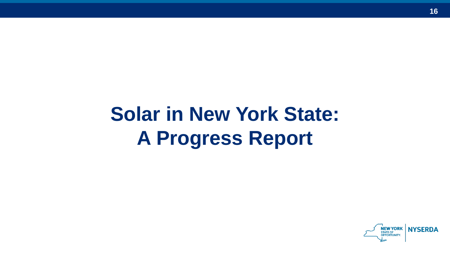## **Solar in New York State: A Progress Report**

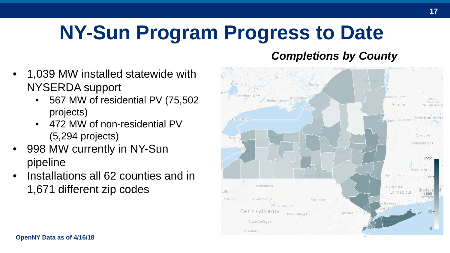## **NY-Sun Program Progress to Date**

#### *Completions by County*

- 1,039 MW installed statewide with NYSERDA support
	- 567 MW of residential PV (75,502 projects)
	- 472 MW of non-residential PV (5,294 projects)
- 998 MW currently in NY-Sun pipeline
- Installations all 62 counties and in 1,671 different zip codes

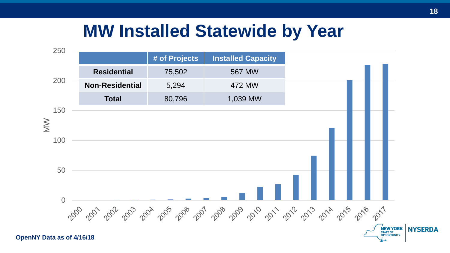#### **MW Installed Statewide by Year**